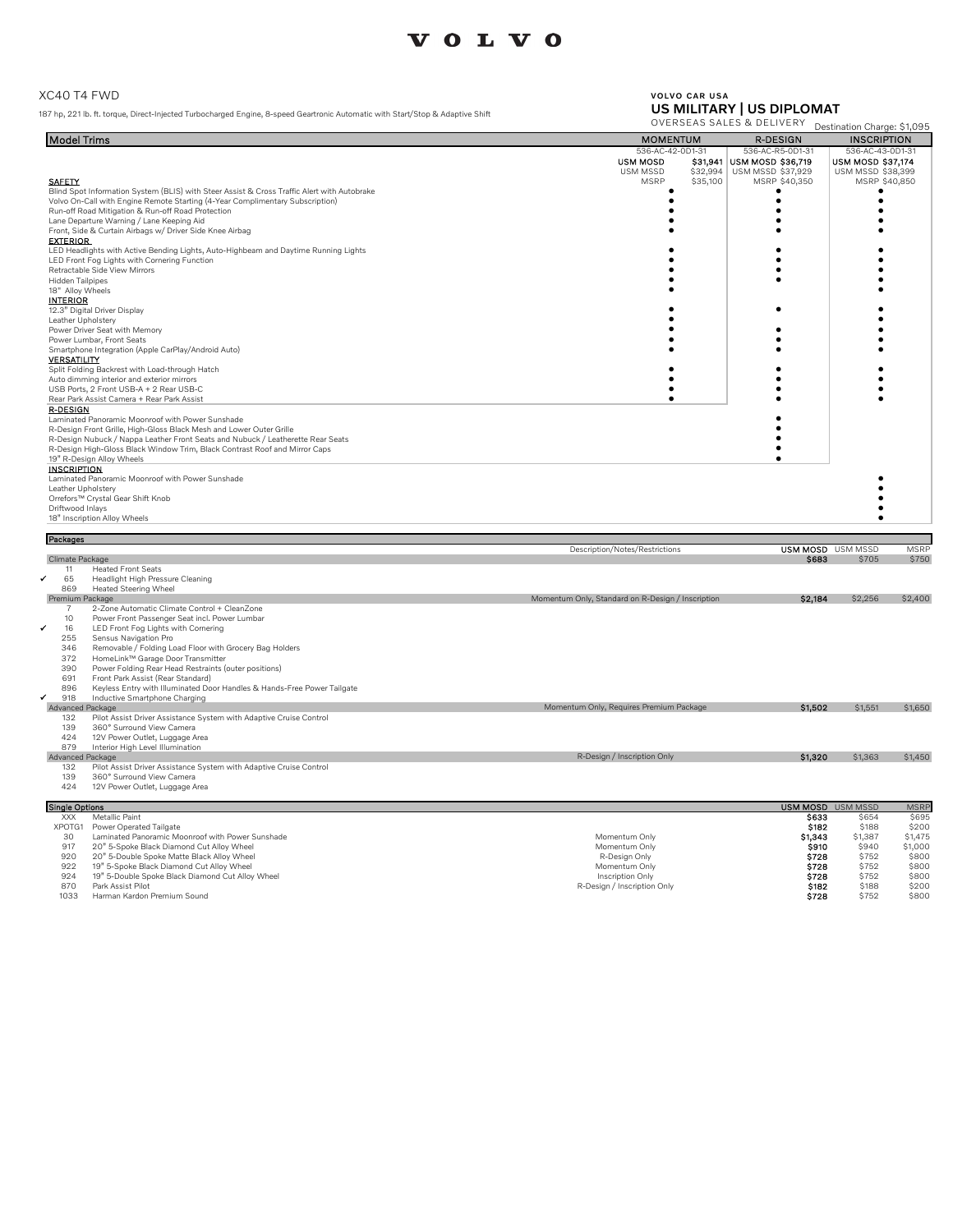## VOLVO

#### XC40 T4 FWD

187 hp, 221 lb. ft. torque, Direct-Injected Turbocharged Engine, 8-speed Geartronic Automatic with Start/Stop & Adaptive Shift

### VOLVO CAR USA US MILITARY | US DIPLOMAT

|                                      |                                                                                                                                    |                                                             | OVERSEAS SALES & DELIVERY                                           | Destination Charge: \$1,095                                       |
|--------------------------------------|------------------------------------------------------------------------------------------------------------------------------------|-------------------------------------------------------------|---------------------------------------------------------------------|-------------------------------------------------------------------|
| <b>Model Trims</b>                   |                                                                                                                                    | <b>MOMENTUM</b>                                             | <b>R-DESIGN</b>                                                     | <b>INSCRIPTION</b>                                                |
|                                      |                                                                                                                                    | 536-AC-42-0D1-31<br><b>USM MOSD</b><br>USM MSSD<br>\$32,994 | 536-AC-R5-0D1-31<br>\$31,941 USM MOSD \$36,719<br>USM MSSD \$37,929 | 536-AC-43-0D1-31<br><b>USM MOSD \$37,174</b><br>USM MSSD \$38,399 |
| <b>SAFETY</b>                        |                                                                                                                                    | <b>MSRP</b><br>\$35,100                                     | MSRP \$40,350                                                       | MSRP \$40,850                                                     |
|                                      | Blind Spot Information System (BLIS) with Steer Assist & Cross Traffic Alert with Autobrake                                        |                                                             |                                                                     |                                                                   |
|                                      | Volvo On-Call with Engine Remote Starting (4-Year Complimentary Subscription)<br>Run-off Road Mitigation & Run-off Road Protection |                                                             |                                                                     |                                                                   |
|                                      | Lane Departure Warning / Lane Keeping Aid                                                                                          |                                                             |                                                                     |                                                                   |
|                                      | Front, Side & Curtain Airbags w/ Driver Side Knee Airbag                                                                           |                                                             |                                                                     |                                                                   |
| <b>EXTERIOR</b>                      |                                                                                                                                    |                                                             |                                                                     |                                                                   |
|                                      | LED Headlights with Active Bending Lights, Auto-Highbeam and Daytime Running Lights                                                |                                                             |                                                                     |                                                                   |
|                                      | LED Front Fog Lights with Cornering Function                                                                                       |                                                             |                                                                     |                                                                   |
|                                      | Retractable Side View Mirrors                                                                                                      |                                                             |                                                                     |                                                                   |
| Hidden Tailpipes<br>18" Alloy Wheels |                                                                                                                                    |                                                             |                                                                     |                                                                   |
| <b>INTERIOR</b>                      |                                                                                                                                    |                                                             |                                                                     |                                                                   |
|                                      | 12.3" Digital Driver Display                                                                                                       |                                                             |                                                                     |                                                                   |
| Leather Upholstery                   |                                                                                                                                    |                                                             |                                                                     |                                                                   |
|                                      | Power Driver Seat with Memory                                                                                                      |                                                             |                                                                     |                                                                   |
|                                      | Power Lumbar, Front Seats                                                                                                          |                                                             |                                                                     |                                                                   |
| <b>VERSATILITY</b>                   | Smartphone Integration (Apple CarPlay/Android Auto)                                                                                |                                                             |                                                                     |                                                                   |
|                                      | Split Folding Backrest with Load-through Hatch                                                                                     |                                                             |                                                                     |                                                                   |
|                                      | Auto dimming interior and exterior mirrors                                                                                         |                                                             |                                                                     |                                                                   |
|                                      | USB Ports, 2 Front USB-A + 2 Rear USB-C                                                                                            |                                                             |                                                                     |                                                                   |
|                                      | Rear Park Assist Camera + Rear Park Assist                                                                                         |                                                             |                                                                     |                                                                   |
| <b>R-DESIGN</b>                      |                                                                                                                                    |                                                             |                                                                     |                                                                   |
|                                      | Laminated Panoramic Moonroof with Power Sunshade<br>R-Design Front Grille, High-Gloss Black Mesh and Lower Outer Grille            |                                                             |                                                                     |                                                                   |
|                                      | R-Design Nubuck / Nappa Leather Front Seats and Nubuck / Leatherette Rear Seats                                                    |                                                             |                                                                     |                                                                   |
|                                      | R-Design High-Gloss Black Window Trim, Black Contrast Roof and Mirror Caps                                                         |                                                             |                                                                     |                                                                   |
|                                      | 19" R-Design Alloy Wheels                                                                                                          |                                                             |                                                                     |                                                                   |
| <b>INSCRIPTION</b>                   |                                                                                                                                    |                                                             |                                                                     |                                                                   |
|                                      | Laminated Panoramic Moonroof with Power Sunshade                                                                                   |                                                             |                                                                     |                                                                   |
| Leather Upholstery                   |                                                                                                                                    |                                                             |                                                                     |                                                                   |
| Driftwood Inlays                     | Orrefors™ Crystal Gear Shift Knob                                                                                                  |                                                             |                                                                     |                                                                   |
|                                      | 18" Inscription Alloy Wheels                                                                                                       |                                                             |                                                                     |                                                                   |
|                                      |                                                                                                                                    |                                                             |                                                                     |                                                                   |
| Packages                             |                                                                                                                                    |                                                             | USM MOSD                                                            | USM MSSD<br><b>MSRF</b>                                           |
| Climate Package                      |                                                                                                                                    | Description/Notes/Restrictions                              | \$683                                                               | \$705<br>\$750                                                    |
| 11                                   | <b>Heated Front Seats</b>                                                                                                          |                                                             |                                                                     |                                                                   |
| 65                                   | Headlight High Pressure Cleaning                                                                                                   |                                                             |                                                                     |                                                                   |
| 869                                  | <b>Heated Steering Wheel</b>                                                                                                       |                                                             |                                                                     |                                                                   |
| Premium Package                      |                                                                                                                                    | Momentum Only, Standard on R-Design / Inscription           | \$2,184                                                             | \$2,256<br>\$2,400                                                |
| $\overline{7}$<br>10                 | 2-Zone Automatic Climate Control + CleanZone<br>Power Front Passenger Seat incl. Power Lumbar                                      |                                                             |                                                                     |                                                                   |
| 16                                   | LED Front Fog Lights with Cornering                                                                                                |                                                             |                                                                     |                                                                   |
| 255                                  | Sensus Navigation Pro                                                                                                              |                                                             |                                                                     |                                                                   |
| 346                                  | Removable / Folding Load Floor with Grocery Bag Holders                                                                            |                                                             |                                                                     |                                                                   |
| 372                                  | HomeLink™ Garage Door Transmitter                                                                                                  |                                                             |                                                                     |                                                                   |
| 390                                  | Power Folding Rear Head Restraints (outer positions)                                                                               |                                                             |                                                                     |                                                                   |
| 691<br>896                           | Front Park Assist (Rear Standard)<br>Keyless Entry with Illuminated Door Handles & Hands-Free Power Tailgate                       |                                                             |                                                                     |                                                                   |
| 918<br>✓                             | Inductive Smartphone Charging                                                                                                      |                                                             |                                                                     |                                                                   |
| Advanced Package                     |                                                                                                                                    | Momentum Only, Requires Premium Package                     | \$1,502                                                             | \$1,551<br>\$1,650                                                |
| 132                                  | Pilot Assist Driver Assistance System with Adaptive Cruise Control                                                                 |                                                             |                                                                     |                                                                   |
| 139                                  | 360° Surround View Camera                                                                                                          |                                                             |                                                                     |                                                                   |
| 424                                  | 12V Power Outlet, Luggage Area                                                                                                     |                                                             |                                                                     |                                                                   |
| 879                                  | Interior High Level Illumination                                                                                                   |                                                             |                                                                     |                                                                   |
| Advanced Package<br>132              | Pilot Assist Driver Assistance System with Adaptive Cruise Control                                                                 | R-Design / Inscription Only                                 | \$1,320                                                             | \$1,363<br>\$1,450                                                |
| 139                                  | 360° Surround View Camera                                                                                                          |                                                             |                                                                     |                                                                   |
| 424                                  | 12V Power Outlet, Luggage Area                                                                                                     |                                                             |                                                                     |                                                                   |

| <b>Single Options</b> |                                                  | <b>USM MOSD USM MSSD</b>    |         | <b>MSRP</b> |         |
|-----------------------|--------------------------------------------------|-----------------------------|---------|-------------|---------|
| <b>XXX</b>            | Metallic Paint                                   |                             | \$633   | \$654       | \$695   |
| XPOTG1                | Power Operated Tailgate                          |                             | \$182   | \$188       | \$200   |
| 30                    | Laminated Panoramic Moonroof with Power Sunshade | Momentum Only               | \$1,343 | \$1,387     | \$1,475 |
| 917                   | 20" 5-Spoke Black Diamond Cut Alloy Wheel        | Momentum Only               | \$910   | \$940       | \$1,000 |
| 920                   | 20" 5-Double Spoke Matte Black Alloy Wheel       | R-Design Only               | \$728   | \$752       | \$800   |
| 922                   | 19" 5-Spoke Black Diamond Cut Alloy Wheel        | Momentum Only               | \$728   | \$752       | \$800   |
| 924                   | 19" 5-Double Spoke Black Diamond Cut Alloy Wheel | Inscription Only            | \$728   | \$752       | \$800   |
| 870                   | Park Assist Pilot                                | R-Design / Inscription Only | \$182   | \$188       | \$200   |
| 1033                  | Harman Kardon Premium Sound                      |                             | \$728   | \$752       | \$800   |